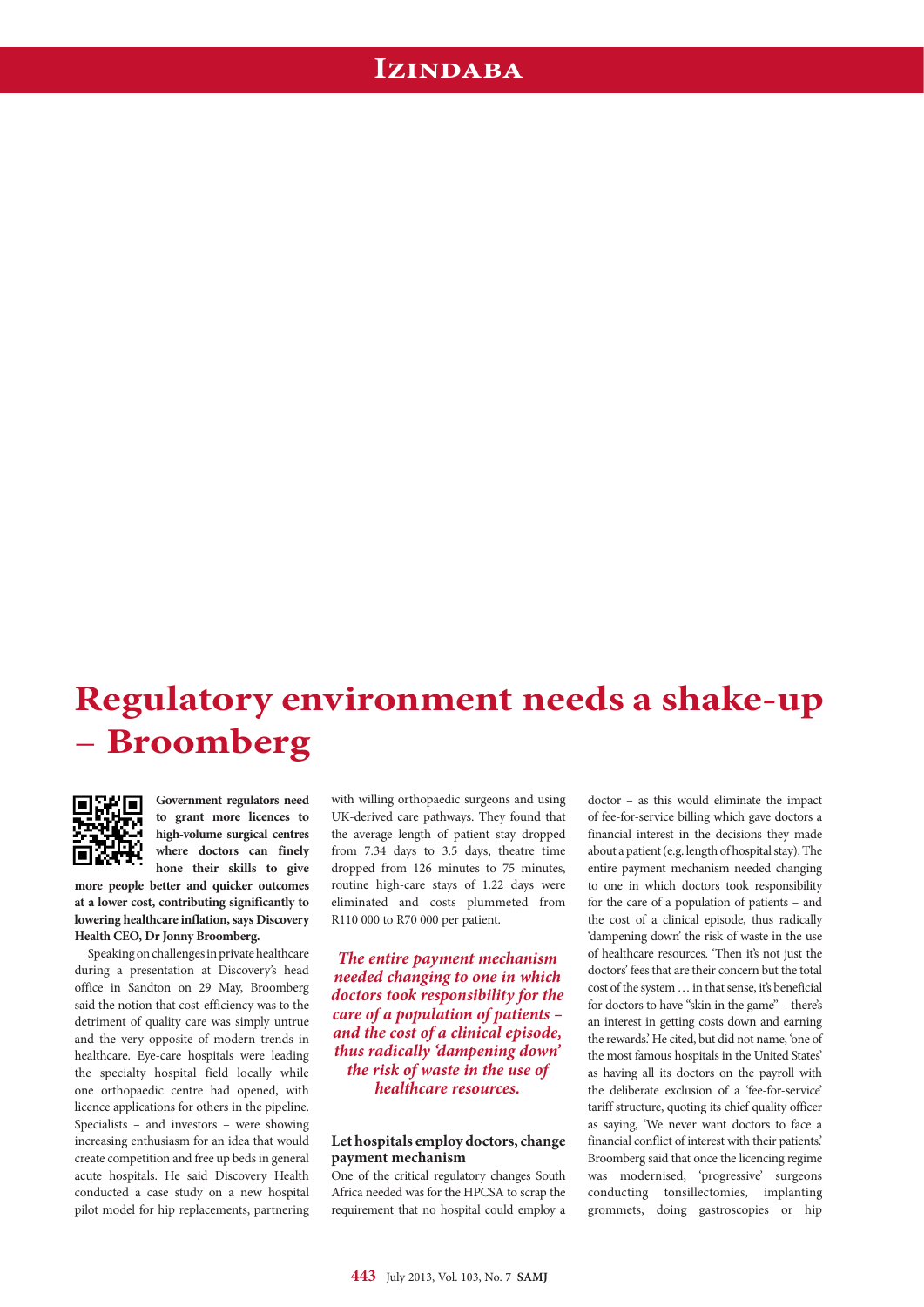## **Izindaba**

# **Regulatory environment needs a shake-up**  – **Broomberg**



**Government regulators need to grant more licences to high-volume surgical centres where doctors can finely hone their skills to give more people better and quicker outcomes** 

**at a lower cost, contributing significantly to lowering healthcare inflation, says Discovery Health CEO, Dr Jonny Broomberg.**

Speaking on challenges in private healthcare during a presentation at Discovery's head office in Sandton on 29 May, Broomberg said the notion that cost-efficiency was to the detriment of quality care was simply untrue and the very opposite of modern trends in healthcare. Eye-care hospitals were leading the specialty hospital field locally while one orthopaedic centre had opened, with licence applications for others in the pipeline. Specialists – and investors – were showing increasing enthusiasm for an idea that would create competition and free up beds in general acute hospitals. He said Discovery Health conducted a case study on a new hospital pilot model for hip replacements, partnering with willing orthopaedic surgeons and using UK-derived care pathways. They found that the average length of patient stay dropped from 7.34 days to 3.5 days, theatre time dropped from 126 minutes to 75 minutes, routine high-care stays of 1.22 days were eliminated and costs plummeted from R110 000 to R70 000 per patient.

*The entire payment mechanism needed changing to one in which doctors took responsibility for the care of a population of patients – and the cost of a clinical episode, thus radically 'dampening down' the risk of waste in the use of healthcare resources.*

#### **Let hospitals employ doctors, change payment mechanism**

One of the critical regulatory changes South Africa needed was for the HPCSA to scrap the requirement that no hospital could employ a

doctor – as this would eliminate the impact of fee-for-service billing which gave doctors a financial interest in the decisions they made about a patient (e.g. length of hospital stay). The entire payment mechanism needed changing to one in which doctors took responsibility for the care of a population of patients – and the cost of a clinical episode, thus radically 'dampening down' the risk of waste in the use of healthcare resources. 'Then it's not just the doctors' fees that are their concern but the total cost of the system … in that sense, it's beneficial for doctors to have "skin in the game" – there's an interest in getting costs down and earning the rewards.' He cited, but did not name, 'one of the most famous hospitals in the United States' as having all its doctors on the payroll with the deliberate exclusion of a 'fee-for-service' tariff structure, quoting its chief quality officer as saying, 'We never want doctors to face a financial conflict of interest with their patients.' Broomberg said that once the licencing regime was modernised, 'progressive' surgeons conducting tonsillectomies, implanting grommets, doing gastroscopies or hip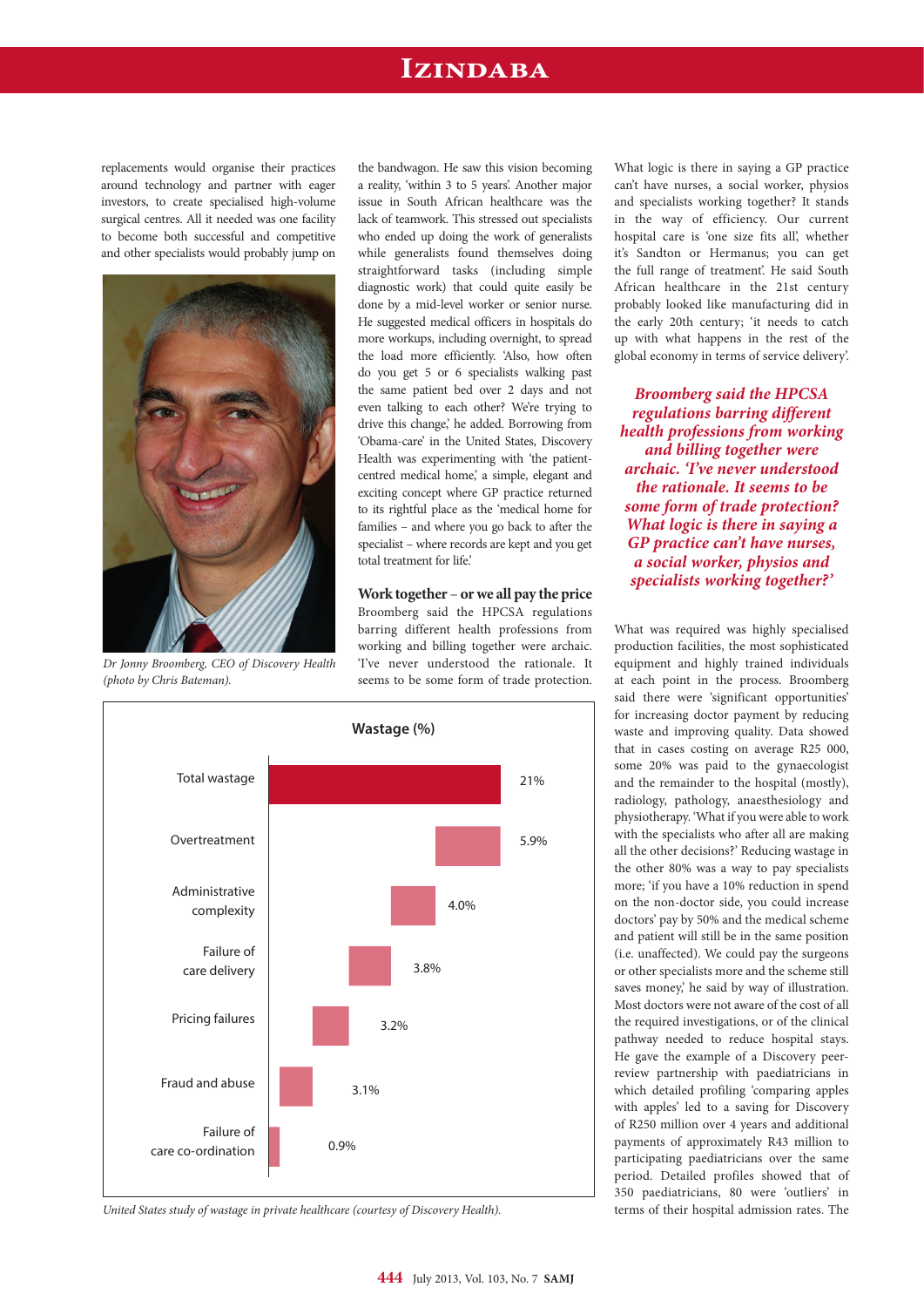### **Izindaba**

replacements would organise their practices around technology and partner with eager investors, to create specialised high-volume surgical centres. All it needed was one facility to become both successful and competitive and other specialists would probably jump on



*Dr Jonny Broomberg, CEO of Discovery Health (photo by Chris Bateman).*

the bandwagon. He saw this vision becoming a reality, 'within 3 to 5 years'. Another major issue in South African healthcare was the lack of teamwork. This stressed out specialists who ended up doing the work of generalists while generalists found themselves doing straightforward tasks (including simple diagnostic work) that could quite easily be done by a mid-level worker or senior nurse. He suggested medical officers in hospitals do more workups, including overnight, to spread the load more efficiently. 'Also, how often do you get 5 or 6 specialists walking past the same patient bed over 2 days and not even talking to each other? We're trying to drive this change,' he added. Borrowing from 'Obama-care' in the United States, Discovery Health was experimenting with 'the patientcentred medical home,' a simple, elegant and exciting concept where GP practice returned to its rightful place as the 'medical home for families – and where you go back to after the specialist – where records are kept and you get total treatment for life.'

**Work together** – **or we all pay the price** Broomberg said the HPCSA regulations barring different health professions from working and billing together were archaic. 'I've never understood the rationale. It seems to be some form of trade protection.



*United States study of wastage in private healthcare (courtesy of Discovery Health).*

What logic is there in saying a GP practice can't have nurses, a social worker, physios and specialists working together? It stands in the way of efficiency. Our current hospital care is 'one size fits all', whether it's Sandton or Hermanus; you can get the full range of treatment'. He said South African healthcare in the 21st century probably looked like manufacturing did in the early 20th century; 'it needs to catch up with what happens in the rest of the global economy in terms of service delivery'.

*Broomberg said the HPCSA regulations barring different health professions from working and billing together were archaic. 'I've never understood the rationale. It seems to be some form of trade protection? What logic is there in saying a GP practice can't have nurses, a social worker, physios and specialists working together?'*

What was required was highly specialised production facilities, the most sophisticated equipment and highly trained individuals at each point in the process. Broomberg said there were 'significant opportunities' for increasing doctor payment by reducing waste and improving quality. Data showed that in cases costing on average R25 000, some 20% was paid to the gynaecologist and the remainder to the hospital (mostly), radiology, pathology, anaesthesiology and physiotherapy. 'What if you were able to work with the specialists who after all are making all the other decisions?' Reducing wastage in the other 80% was a way to pay specialists more; 'if you have a 10% reduction in spend on the non-doctor side, you could increase doctors' pay by 50% and the medical scheme and patient will still be in the same position (i.e. unaffected). We could pay the surgeons or other specialists more and the scheme still saves money,' he said by way of illustration. Most doctors were not aware of the cost of all the required investigations, or of the clinical pathway needed to reduce hospital stays. He gave the example of a Discovery peerreview partnership with paediatricians in which detailed profiling 'comparing apples with apples' led to a saving for Discovery of R250 million over 4 years and additional payments of approximately R43 million to participating paediatricians over the same period. Detailed profiles showed that of 350 paediatricians, 80 were 'outliers' in terms of their hospital admission rates. The